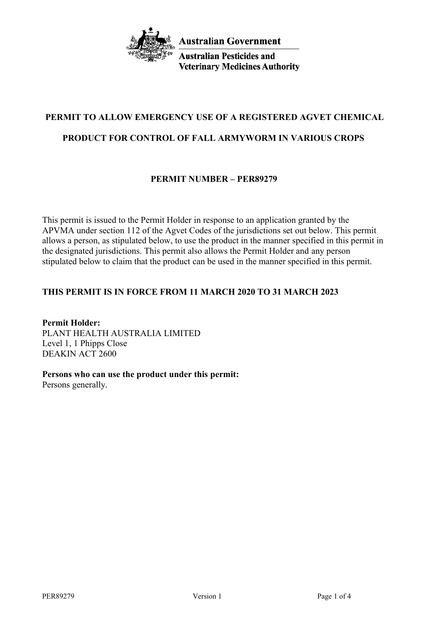

**Australian Pesticides and Veterinary Medicines Authority** 

# **PERMIT TO ALLOW EMERGENCY USE OF A REGISTERED AGVET CHEMICAL**

# **PRODUCT FOR CONTROL OF FALL ARMYWORM IN VARIOUS CROPS**

# **PERMIT NUMBER – PER89279**

This permit is issued to the Permit Holder in response to an application granted by the APVMA under section 112 of the Agvet Codes of the jurisdictions set out below. This permit allows a person, as stipulated below, to use the product in the manner specified in this permit in the designated jurisdictions. This permit also allows the Permit Holder and any person stipulated below to claim that the product can be used in the manner specified in this permit.

# **THIS PERMIT IS IN FORCE FROM 11 MARCH 2020 TO 31 MARCH 2023**

**Permit Holder:** PLANT HEALTH AUSTRALIA LIMITED Level 1, 1 Phipps Close DEAKIN ACT 2600

**Persons who can use the product under this permit:**

Persons generally.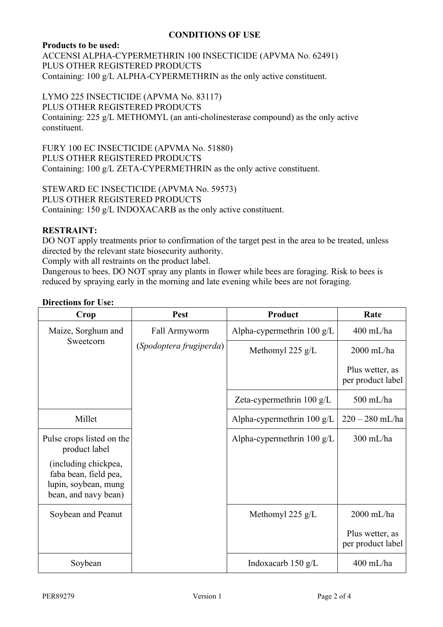## **CONDITIONS OF USE**

## **Products to be used:**

ACCENSI ALPHA-CYPERMETHRIN 100 INSECTICIDE (APVMA No. 62491) PLUS OTHER REGISTERED PRODUCTS Containing: 100 g/L ALPHA-CYPERMETHRIN as the only active constituent.

## LYMO 225 INSECTICIDE (APVMA No. 83117)

#### PLUS OTHER REGISTERED PRODUCTS

Containing: 225 g/L METHOMYL (an anti-cholinesterase compound) as the only active constituent.

FURY 100 EC INSECTICIDE (APVMA No. 51880) PLUS OTHER REGISTERED PRODUCTS Containing: 100 g/L ZETA-CYPERMETHRIN as the only active constituent.

STEWARD EC INSECTICIDE (APVMA No. 59573) PLUS OTHER REGISTERED PRODUCTS Containing: 150 g/L INDOXACARB as the only active constituent.

## **RESTRAINT:**

DO NOT apply treatments prior to confirmation of the target pest in the area to be treated, unless directed by the relevant state biosecurity authority.

Comply with all restraints on the product label.

Dangerous to bees. DO NOT spray any plants in flower while bees are foraging. Risk to bees is reduced by spraying early in the morning and late evening while bees are not foraging.

#### **Directions for Use:**

| Crop                                                                                          | Pest                    | Product                              | Rate                                 |
|-----------------------------------------------------------------------------------------------|-------------------------|--------------------------------------|--------------------------------------|
| Maize, Sorghum and<br>Sweetcorn                                                               | Fall Armyworm           | Alpha-cypermethrin $100 \text{ g/L}$ | 400 mL/ha                            |
|                                                                                               | (Spodoptera frugiperda) | Methomyl 225 $g/L$                   | $2000$ mL/ha                         |
|                                                                                               |                         |                                      | Plus wetter, as<br>per product label |
|                                                                                               |                         | Zeta-cypermethrin 100 g/L            | 500 mL/ha                            |
| Millet                                                                                        |                         | Alpha-cypermethrin $100 \text{ g/L}$ | $220 - 280$ mL/ha                    |
| Pulse crops listed on the<br>product label                                                    |                         | Alpha-cypermethrin $100 \text{ g/L}$ | 300 mL/ha                            |
| (including chickpea,<br>faba bean, field pea,<br>lupin, soybean, mung<br>bean, and navy bean) |                         |                                      |                                      |
| Soybean and Peanut                                                                            |                         | Methomyl 225 $g/L$                   | 2000 mL/ha                           |
|                                                                                               |                         |                                      | Plus wetter, as<br>per product label |
| Soybean                                                                                       |                         | Indoxacarb $150 \text{ g/L}$         | 400 mL/ha                            |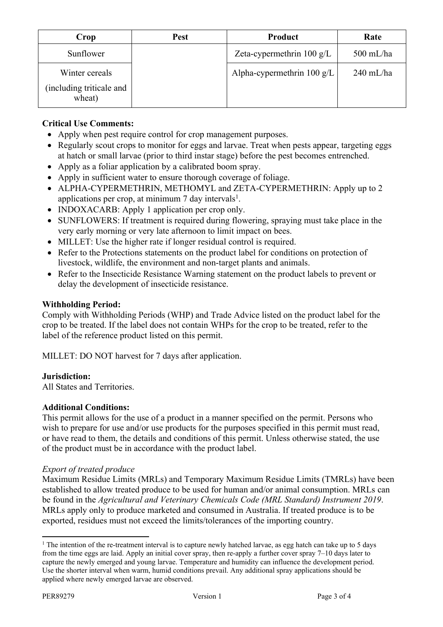| Crop                                                 | <b>Pest</b> | Product                      | Rate        |
|------------------------------------------------------|-------------|------------------------------|-------------|
| Sunflower                                            |             | Zeta-cypermethrin 100 g/L    | $500$ mL/ha |
| Winter cereals<br>(including triticale and<br>wheat) |             | Alpha-cypermethrin 100 $g/L$ | $240$ mL/ha |

# **Critical Use Comments:**

- Apply when pest require control for crop management purposes.
- Regularly scout crops to monitor for eggs and larvae. Treat when pests appear, targeting eggs at hatch or small larvae (prior to third instar stage) before the pest becomes entrenched.
- Apply as a foliar application by a calibrated boom spray.
- Apply in sufficient water to ensure thorough coverage of foliage.
- ALPHA-CYPERMETHRIN, METHOMYL and ZETA-CYPERMETHRIN: Apply up to 2 applications per crop, at minimum  $7$  day intervals<sup>1</sup>.
- INDOXACARB: Apply 1 application per crop only.
- SUNFLOWERS: If treatment is required during flowering, spraying must take place in the very early morning or very late afternoon to limit impact on bees.
- MILLET: Use the higher rate if longer residual control is required.
- Refer to the Protections statements on the product label for conditions on protection of livestock, wildlife, the environment and non-target plants and animals.
- Refer to the Insecticide Resistance Warning statement on the product labels to prevent or delay the development of insecticide resistance.

## **Withholding Period:**

Comply with Withholding Periods (WHP) and Trade Advice listed on the product label for the crop to be treated. If the label does not contain WHPs for the crop to be treated, refer to the label of the reference product listed on this permit.

MILLET: DO NOT harvest for 7 days after application.

## **Jurisdiction:**

All States and Territories.

#### **Additional Conditions:**

This permit allows for the use of a product in a manner specified on the permit. Persons who wish to prepare for use and/or use products for the purposes specified in this permit must read, or have read to them, the details and conditions of this permit. Unless otherwise stated, the use of the product must be in accordance with the product label.

#### *Export of treated produce*

Maximum Residue Limits (MRLs) and Temporary Maximum Residue Limits (TMRLs) have been established to allow treated produce to be used for human and/or animal consumption. MRLs can be found in the *Agricultural and Veterinary Chemicals Code (MRL Standard) Instrument 2019*. MRLs apply only to produce marketed and consumed in Australia. If treated produce is to be exported, residues must not exceed the limits/tolerances of the importing country.

<sup>&</sup>lt;sup>1</sup> The intention of the re-treatment interval is to capture newly hatched larvae, as egg hatch can take up to 5 days from the time eggs are laid. Apply an initial cover spray, then re-apply a further cover spray 7–10 days later to capture the newly emerged and young larvae. Temperature and humidity can influence the development period. Use the shorter interval when warm, humid conditions prevail. Any additional spray applications should be applied where newly emerged larvae are observed.